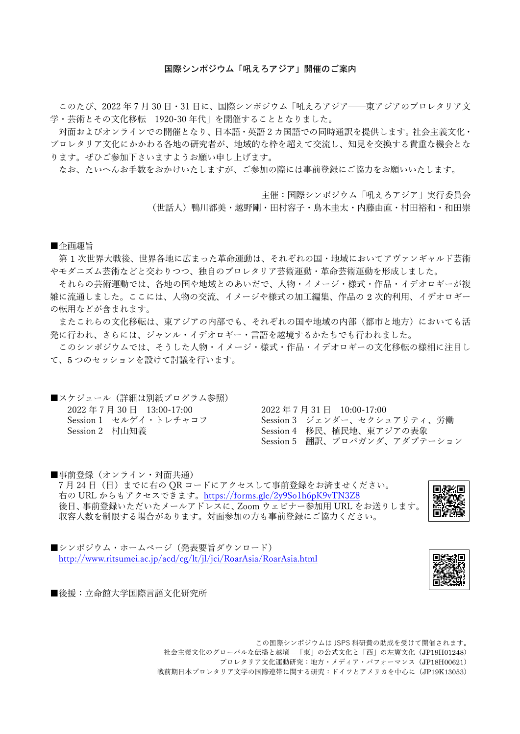## 国際シンポジウム「吼えろアジア」開催のご案内

このたび、2022 年 7 月 30 日・31 日に、国際シンポジウム「吼えろアジア――東アジアのプロレタリア文 学・芸術とその⽂化移転 1920-30 年代」を開催することとなりました。

対面およびオンラインでの開催となり、日本語・英語2カ国語での同時通訳を提供します。社会主義文化・ プロレタリア⽂化にかかわる各地の研究者が、地域的な枠を超えて交流し、知⾒を交換する貴重な機会とな ります。ぜひご参加下さいますようお願い申し上げます。

なお、たいへんお手数をおかけいたしますが、ご参加の際には事前登録にご協力をお願いいたします。

主催:国際シンポジウム「吼えろアジア」実行委員会 (世話人)鴨川都美・越野剛・田村容子・鳥木圭太・内藤由直・村田裕和・和田崇

■企画趣旨

第1次世界大戦後、世界各地に広まった革命運動は、それぞれの国・地域においてアヴァンギャルド芸術 やモダニズム芸術などと交わりつつ、独⾃のプロレタリア芸術運動・⾰命芸術運動を形成しました。

それらの芸術運動では、各地の国や地域とのあいだで、⼈物・イメージ・様式・作品・イデオロギーが複 雑に流通しました。ここには、人物の交流、イメージや様式の加工編集、作品の 2 次的利用、イデオロギー の転用などが含まれます。

またこれらの文化移転は、東アジアの内部でも、それぞれの国や地域の内部(都市と地方)においても活 発に行われ、さらには、ジャンル・イデオロギー・言語を越境するかたちでも行われました。

このシンポジウムでは、そうした人物・イメージ・様式・作品・イデオロギーの文化移転の様相に注目し て、5 つのセッションを設けて討議を⾏います。

■スケジュール(詳細は別紙プログラム参照) 2022 年 7 月 30 日 13:00-17:00 Session 1 セルゲイ・トレチャコフ Session 2 村山知義

2022 年 7 ⽉ 31 ⽇ 10:00-17:00 Session 3 ジェンダー、セクシュアリティ、労働 Session 4 移⺠、植⺠地、東アジアの表象 Session 5 翻訳、プロパガンダ、アダプテーション

■事前登録(オンライン・対面共通)

7月24日 (日) までに右の OR コードにアクセスして事前登録をお済ませください。 右の URL からもアクセスできます。https://forms.gle/2y9So1h6pK9vTN3Z8 後日、事前登録いただいたメールアドレスに、Zoom ウェビナー参加用 URL をお送りします。 収容人数を制限する場合があります。対面参加の方も事前登録にご協力ください。



■シンポジウム・ホームページ(発表要旨ダウンロード) http://www.ritsumei.ac.jp/acd/cg/lt/jl/jci/RoarAsia/RoarAsia.html



■後援:立命館大学国際言語文化研究所